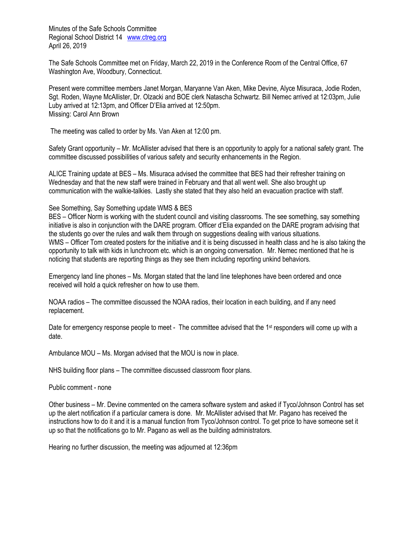Minutes of the Safe Schools Committee Regional School District 14 [www.ctreg.org](http://www.ctreg.org/) April 26, 2019

The Safe Schools Committee met on Friday, March 22, 2019 in the Conference Room of the Central Office, 67 Washington Ave, Woodbury, Connecticut.

Present were committee members Janet Morgan, Maryanne Van Aken, Mike Devine, Alyce Misuraca, Jodie Roden, Sgt. Roden, Wayne McAllister, Dr. Olzacki and BOE clerk Natascha Schwartz. Bill Nemec arrived at 12:03pm, Julie Luby arrived at 12:13pm, and Officer D'Elia arrived at 12:50pm. Missing: Carol Ann Brown

The meeting was called to order by Ms. Van Aken at 12:00 pm.

Safety Grant opportunity – Mr. McAllister advised that there is an opportunity to apply for a national safety grant. The committee discussed possibilities of various safety and security enhancements in the Region.

ALICE Training update at BES – Ms. Misuraca advised the committee that BES had their refresher training on Wednesday and that the new staff were trained in February and that all went well. She also brought up communication with the walkie-talkies. Lastly she stated that they also held an evacuation practice with staff.

## See Something, Say Something update WMS & BES

BES – Officer Norm is working with the student council and visiting classrooms. The see something, say something initiative is also in conjunction with the DARE program. Officer d'Elia expanded on the DARE program advising that the students go over the rules and walk them through on suggestions dealing with various situations. WMS – Officer Tom created posters for the initiative and it is being discussed in health class and he is also taking the opportunity to talk with kids in lunchroom etc. which is an ongoing conversation. Mr. Nemec mentioned that he is noticing that students are reporting things as they see them including reporting unkind behaviors.

Emergency land line phones – Ms. Morgan stated that the land line telephones have been ordered and once received will hold a quick refresher on how to use them.

NOAA radios – The committee discussed the NOAA radios, their location in each building, and if any need replacement.

Date for emergency response people to meet - The committee advised that the 1<sup>st</sup> responders will come up with a date.

Ambulance MOU – Ms. Morgan advised that the MOU is now in place.

NHS building floor plans – The committee discussed classroom floor plans.

Public comment - none

Other business – Mr. Devine commented on the camera software system and asked if Tyco/Johnson Control has set up the alert notification if a particular camera is done. Mr. McAllister advised that Mr. Pagano has received the instructions how to do it and it is a manual function from Tyco/Johnson control. To get price to have someone set it up so that the notifications go to Mr. Pagano as well as the building administrators.

Hearing no further discussion, the meeting was adjourned at 12:36pm